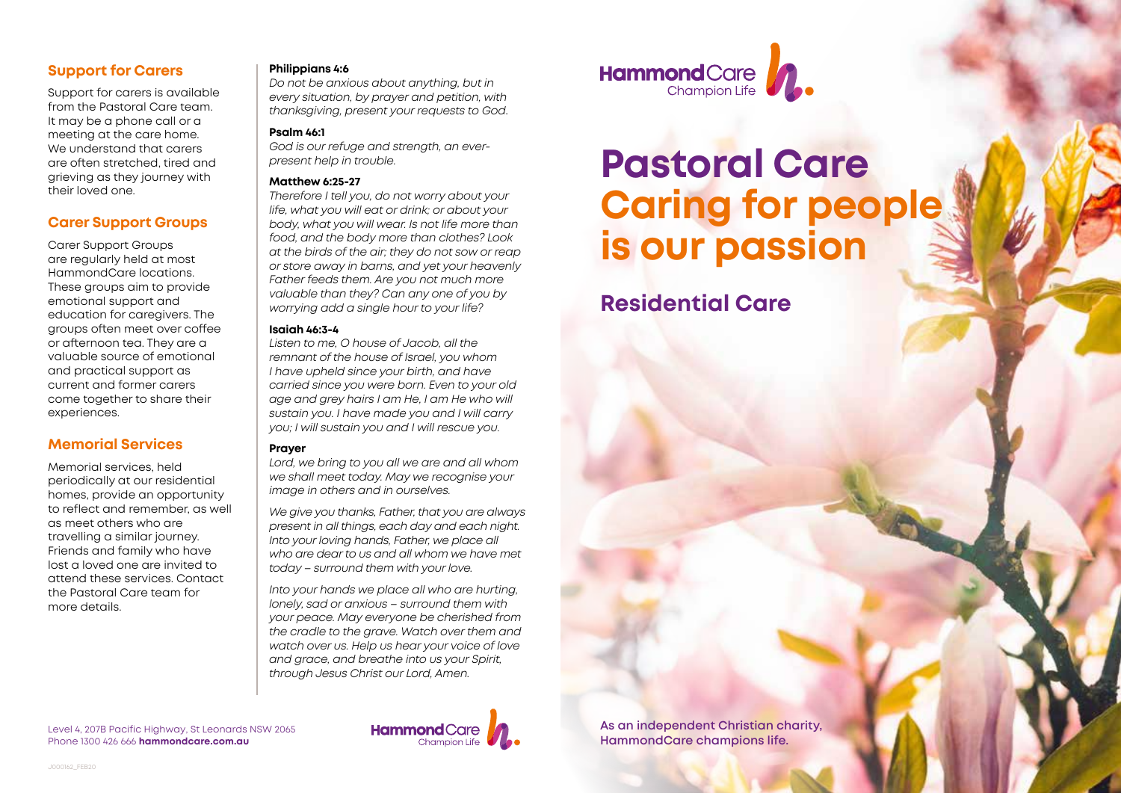# **Support for Carers**

Support for carers is available from the Pastoral Care team. It may be a phone call or a meeting at the care home. We understand that carers are often stretched, tired and grieving as they journey with their loved one.

## **Carer Support Groups**

Carer Support Groups are regularly held at most HammondCare locations. These groups aim to provide emotional support and education for caregivers. The groups often meet over coffee or afternoon tea. They are a valuable source of emotional and practical support as current and former carers come together to share their experiences.

# **Memorial Services**

Memorial services, held periodically at our residential homes, provide an opportunity to reflect and remember, as well as meet others who are travelling a similar journey. Friends and family who have lost a loved one are invited to attend these services. Contact the Pastoral Care team for more details.

#### **Philippians 4:6**

*Do not be anxious about anything, but in every situation, by prayer and petition, with thanksgiving, present your requests to God*.

### **Psalm 46:1**

*God is our refuge and strength, an everpresent help in trouble.*

### **Matthew 6:25-27**

*Therefore I tell you, do not worry about your life, what you will eat or drink; or about your body, what you will wear. Is not life more than food, and the body more than clothes? Look at the birds of the air; they do not sow or reap or store away in barns, and yet your heavenly Father feeds them. Are you not much more valuable than they? Can any one of you by worrying add a single hour to your life?*

## **Isaiah 46:3-4**

*Listen to me, O house of Jacob, all the remnant of the house of Israel, you whom I have upheld since your birth, and have carried since you were born. Even to your old age and grey hairs I am He, I am He who will sustain you. I have made you and I will carry you; I will sustain you and I will rescue you.* 

## **Prayer**

*Lord, we bring to you all we are and all whom we shall meet today. May we recognise your image in others and in ourselves.* 

*We give you thanks, Father, that you are always present in all things, each day and each night. Into your loving hands, Father, we place all who are dear to us and all whom we have met today – surround them with your love.* 

*Into your hands we place all who are hurting, lonely, sad or anxious – surround them with your peace. May everyone be cherished from the cradle to the grave. Watch over them and watch over us. Help us hear your voice of love and grace, and breathe into us your Spirit, through Jesus Christ our Lord, Amen.* 



# **Pastoral Care Caring for people is our passion**

**Residential Care**

Level 4, 207B Pacific Highway, St Leonards NSW 2065 Phone 1300 426 666 **hammondcare.com.au**



**As an independent Christian charity, HammondCare champions life.**